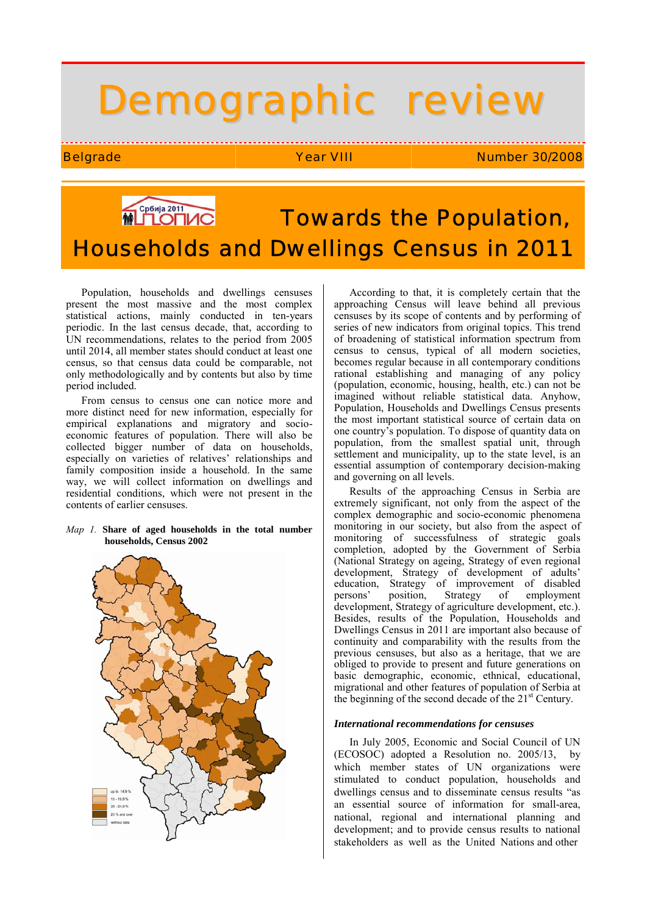# Demographic review

Belgrade **Year VIII** Number 30/2008

# **MUTOTIAC Towards the Population,** Households and Dwellings Census in 2011

Population, households and dwellings censuses present the most massive and the most complex statistical actions, mainly conducted in ten-years periodic. In the last census decade, that, according to UN recommendations, relates to the period from 2005 until 2014, all member states should conduct at least one census, so that census data could be comparable, not only methodologically and by contents but also by time period included.

From census to census one can notice more and more distinct need for new information, especially for empirical explanations and migratory and socioeconomic features of population. There will also be collected bigger number of data on households, especially on varieties of relatives' relationships and family composition inside a household. In the same way, we will collect information on dwellings and residential conditions, which were not present in the contents of earlier censuses.

#### *Map 1.* **Share of aged households in the total number households, Census 2002**



According to that, it is completely certain that the approaching Census will leave behind all previous censuses by its scope of contents and by performing of series of new indicators from original topics. This trend of broadening of statistical information spectrum from census to census, typical of all modern societies, becomes regular because in all contemporary conditions rational establishing and managing of any policy (population, economic, housing, health, etc.) can not be imagined without reliable statistical data. Anyhow, Population, Households and Dwellings Census presents the most important statistical source of certain data on one country's population. To dispose of quantity data on population, from the smallest spatial unit, through settlement and municipality, up to the state level, is an essential assumption of contemporary decision-making and governing on all levels.

Results of the approaching Census in Serbia are extremely significant, not only from the aspect of the complex demographic and socio-economic phenomena monitoring in our society, but also from the aspect of monitoring of successfulness of strategic goals completion, adopted by the Government of Serbia (National Strategy on ageing, Strategy of even regional development, Strategy of development of adults' education, Strategy of improvement of disabled persons' position, Strategy of employment development, Strategy of agriculture development, etc.). Besides, results of the Population, Households and Dwellings Census in 2011 are important also because of continuity and comparability with the results from the previous censuses, but also as a heritage, that we are obliged to provide to present and future generations on basic demographic, economic, ethnical, educational, migrational and other features of population of Serbia at the beginning of the second decade of the  $21<sup>st</sup>$  Century.

## *International recommendations for censuses*

In July 2005, Economic and Social Council of UN (ECOSOC) adopted a Resolution no. 2005/13, by which member states of UN organizations were stimulated to conduct population, households and dwellings census and to disseminate census results "as an essential source of information for small-area, national, regional and international planning and development; and to provide census results to national stakeholders as well as the United Nations and other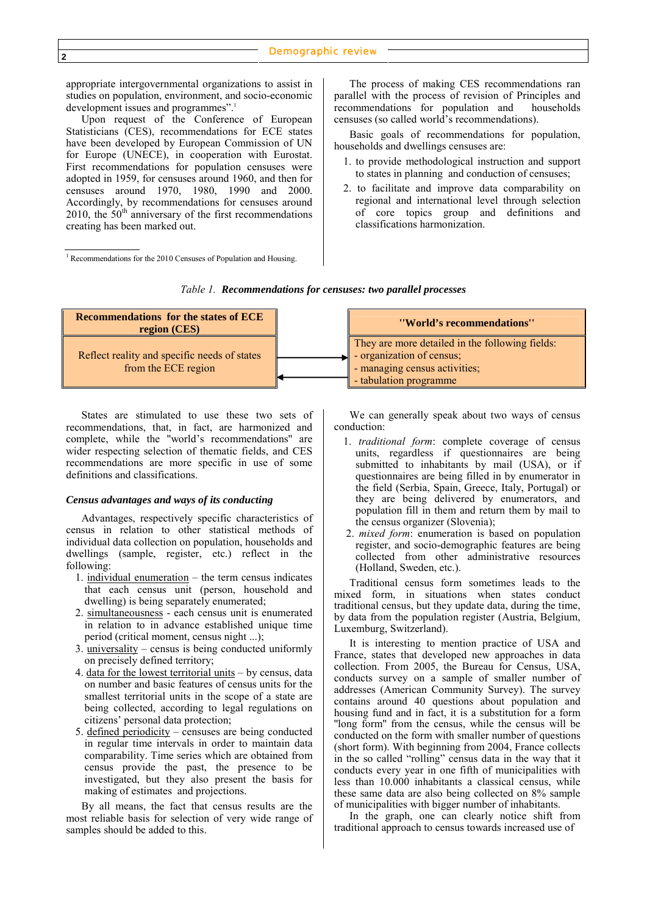appropriate intergovernmental organizations to assist in studies on population, environment, and socio-economic development issues and programmes".<sup>1</sup>

Upon request of the Conference of European Statisticians (CES), recommendations for ECE states have been developed by European Commission of UN for Europe (UNECE), in cooperation with Eurostat. First recommendations for population censuses were adopted in 1959, for censuses around 1960, and then for censuses around 1970, 1980, 1990 and 2000. Accordingly, by recommendations for censuses around 2010, the  $50<sup>th</sup>$  anniversary of the first recommendations creating has been marked out.

<sup>1</sup> Recommendations for the 2010 Censuses of Population and Housing.

The process of making CES recommendations ran parallel with the process of revision of Principles and recommendations for population and households censuses (so called world's recommendations).

Basic goals of recommendations for population, households and dwellings censuses are:

- 1. to provide methodological instruction and support to states in planning and conduction of censuses;
- 2. to facilitate and improve data comparability on regional and international level through selection of core topics group and definitions and classifications harmonization.

| <b>Recommendations for the states of ECE</b><br>region (CES)        | "World's recommendations"                                                                                                               |
|---------------------------------------------------------------------|-----------------------------------------------------------------------------------------------------------------------------------------|
| Reflect reality and specific needs of states<br>from the ECE region | They are more detailed in the following fields:<br>- organization of census;<br>- managing census activities;<br>- tabulation programme |

*Тable 1. Recommendations for censuses: two parallel processes* 

States are stimulated to use these two sets of recommendations, that, in fact, are harmonized and complete, while the ''world's recommendations'' are wider respecting selection of thematic fields, and CES recommendations are more specific in use of some definitions and classifications.

#### *Census advantages and ways of its conducting*

Advantages, respectively specific characteristics of census in relation to other statistical methods of individual data collection on population, households and dwellings (sample, register, etc.) reflect in the following:

- 1. individual enumeration the term census indicates that each census unit (person, household and dwelling) is being separately enumerated;
- 2. simultaneousness each census unit is enumerated in relation to in advance established unique time period (critical moment, census night ...);
- 3. universality census is being conducted uniformly on precisely defined territory;
- 4. data for the lowest territorial units by census, data on number and basic features of census units for the smallest territorial units in the scope of a state are being collected, according to legal regulations on citizens' personal data protection;
- 5. defined periodicity censuses are being conducted in regular time intervals in order to maintain data comparability. Time series which are obtained from census provide the past, the presence to be investigated, but they also present the basis for making of estimates and projections.

By all means, the fact that census results are the most reliable basis for selection of very wide range of samples should be added to this.

We can generally speak about two ways of census conduction:

- 1. *traditional form*: complete coverage of census units, regardless if questionnaires are being submitted to inhabitants by mail (USA), or if questionnaires are being filled in by enumerator in the field (Serbia, Spain, Greece, Italy, Portugal) or they are being delivered by enumerators, and population fill in them and return them by mail to the census organizer (Slovenia);
- 2. *mixed form*: enumeration is based on population register, and socio-demographic features are being collected from other administrative resources (Holland, Sweden, etc.).

Traditional census form sometimes leads to the mixed form, in situations when states conduct traditional census, but they update data, during the time, by data from the population register (Austria, Belgium, Luxemburg, Switzerland).

It is interesting to mention practice of USA and France, states that developed new approaches in data collection. From 2005, the Bureau for Census, USA, conducts survey on a sample of smaller number of addresses (American Community Survey). The survey contains around 40 questions about population and housing fund and in fact, it is a substitution for a form ''long form'' from the census, while the census will be conducted on the form with smaller number of questions (short form). With beginning from 2004, France collects in the so called "rolling" census data in the way that it conducts every year in one fifth of municipalities with less than 10.000 inhabitants a classical census, while these same data are also being collected on 8% sample of municipalities with bigger number of inhabitants.

In the graph, one can clearly notice shift from traditional approach to census towards increased use of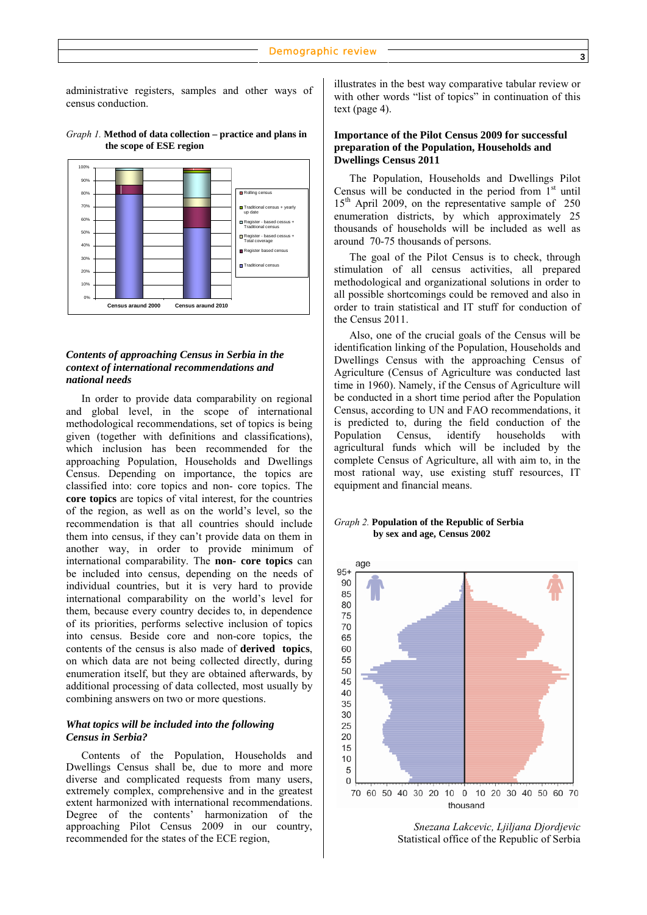administrative registers, samples and other ways of census conduction.



#### *Graph 1.* **Method of data collection – practice and plans in the scope of ESE region**

# *Contents of approaching Census in Serbia in the context of international recommendations and national needs*

In order to provide data comparability on regional and global level, in the scope of international methodological recommendations, set of topics is being given (together with definitions and classifications), which inclusion has been recommended for the approaching Population, Households and Dwellings Census. Depending on importance, the topics are classified into: core topics and non- core topics. The **core topics** are topics of vital interest, for the countries of the region, as well as on the world's level, so the recommendation is that all countries should include them into census, if they can't provide data on them in another way, in order to provide minimum of international comparability. The **non- core topics** can be included into census, depending on the needs of individual countries, but it is very hard to provide international comparability on the world's level for them, because every country decides to, in dependence of its priorities, performs selective inclusion of topics into census. Beside core and non-core topics, the contents of the census is also made of **derived topics**, on which data are not being collected directly, during enumeration itself, but they are obtained afterwards, by additional processing of data collected, most usually by combining answers on two or more questions.

# *What topics will be included into the following Census in Serbia?*

Contents of the Population, Households and Dwellings Census shall be, due to more and more diverse and complicated requests from many users, extremely complex, comprehensive and in the greatest extent harmonized with international recommendations. Degree of the contents' harmonization of the approaching Pilot Census 2009 in our country, recommended for the states of the ECE region,

illustrates in the best way comparative tabular review or with other words "list of topics" in continuation of this text (page 4).

## **Importance of the Pilot Census 2009 for successful preparation of the Population, Households and Dwellings Census 2011**

The Population, Households and Dwellings Pilot Census will be conducted in the period from  $1<sup>st</sup>$  until  $15<sup>th</sup>$  April 2009, on the representative sample of 250 enumeration districts, by which approximately 25 thousands of households will be included as well as around 70-75 thousands of persons.

The goal of the Pilot Census is to check, through stimulation of all census activities, all prepared methodological and organizational solutions in order to all possible shortcomings could be removed and also in order to train statistical and IT stuff for conduction of the Census 2011.

Also, one of the crucial goals of the Census will be identification linking of the Population, Households and Dwellings Census with the approaching Census of Agriculture (Census of Agriculture was conducted last time in 1960). Namely, if the Census of Agriculture will be conducted in a short time period after the Population Census, according to UN and FAO recommendations, it is predicted to, during the field conduction of the Population Census, identify households with agricultural funds which will be included by the complete Census of Agriculture, all with aim to, in the most rational way, use existing stuff resources, IT equipment and financial means.

#### *Graph 2.* **Population of the Republic of Serbia by sex and age, Census 2002**



*Snezana Lakcevic, Ljiljana Djordjevic* Statistical office of the Republic of Serbia